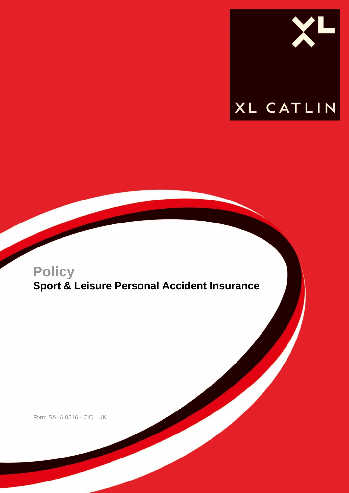

## **Policy Sport & Leisure Personal Accident Insurance**

Form S&LA 0516 - CICL UK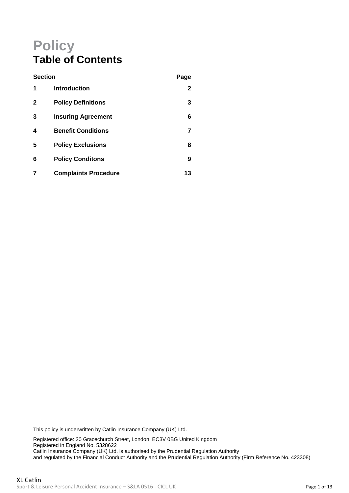## **Policy Table of Contents**

| <b>Section</b> |                             | Page         |
|----------------|-----------------------------|--------------|
| 1              | <b>Introduction</b>         | $\mathbf{2}$ |
| 2              | <b>Policy Definitions</b>   | 3            |
| 3              | <b>Insuring Agreement</b>   | 6            |
| 4              | <b>Benefit Conditions</b>   | 7            |
| 5              | <b>Policy Exclusions</b>    | 8            |
| 6              | <b>Policy Conditons</b>     | 9            |
|                | <b>Complaints Procedure</b> | 13           |

This policy is underwritten by Catlin Insurance Company (UK) Ltd.

Registered office: 20 Gracechurch Street, London, EC3V 0BG United Kingdom Registered in England No. 5328622 Catlin Insurance Company (UK) Ltd. is authorised by the Prudential Regulation Authority and regulated by the Financial Conduct Authority and the Prudential Regulation Authority (Firm Reference No. 423308)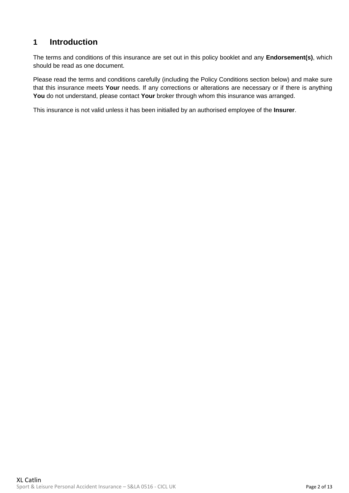### <span id="page-2-0"></span>**1 Introduction**

The terms and conditions of this insurance are set out in this policy booklet and any **Endorsement(s)**, which should be read as one document.

Please read the terms and conditions carefully (including the Policy Conditions section below) and make sure that this insurance meets **Your** needs. If any corrections or alterations are necessary or if there is anything **You** do not understand, please contact **Your** broker through whom this insurance was arranged.

This insurance is not valid unless it has been initialled by an authorised employee of the **Insurer**.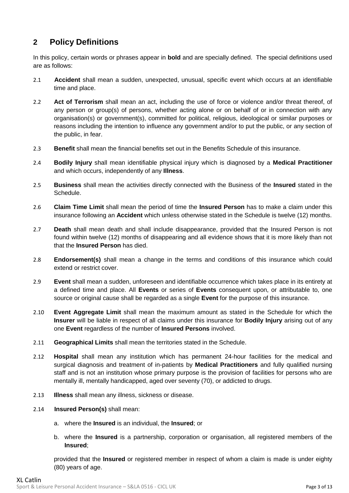## <span id="page-3-0"></span>**2 Policy Definitions**

In this policy, certain words or phrases appear in **bold** and are specially defined. The special definitions used are as follows:

- 2.1 **Accident** shall mean a sudden, unexpected, unusual, specific event which occurs at an identifiable time and place.
- 2.2 **Act of Terrorism** shall mean an act, including the use of force or violence and/or threat thereof, of any person or group(s) of persons, whether acting alone or on behalf of or in connection with any organisation(s) or government(s), committed for political, religious, ideological or similar purposes or reasons including the intention to influence any government and/or to put the public, or any section of the public, in fear.
- 2.3 **Benefit** shall mean the financial benefits set out in the Benefits Schedule of this insurance.
- 2.4 **Bodily Injury** shall mean identifiable physical injury which is diagnosed by a **Medical Practitioner** and which occurs, independently of any **Illness**.
- 2.5 **Business** shall mean the activities directly connected with the Business of the **Insured** stated in the Schedule.
- 2.6 **Claim Time Limit** shall mean the period of time the **Insured Person** has to make a claim under this insurance following an **Accident** which unless otherwise stated in the Schedule is twelve (12) months.
- 2.7 **Death** shall mean death and shall include disappearance, provided that the Insured Person is not found within twelve (12) months of disappearing and all evidence shows that it is more likely than not that the **Insured Person** has died.
- 2.8 **Endorsement(s)** shall mean a change in the terms and conditions of this insurance which could extend or restrict cover.
- 2.9 **Event** shall mean a sudden, unforeseen and identifiable occurrence which takes place in its entirety at a defined time and place. All **Events** or series of **Events** consequent upon, or attributable to, one source or original cause shall be regarded as a single **Event** for the purpose of this insurance.
- 2.10 **Event Aggregate Limit** shall mean the maximum amount as stated in the Schedule for which the **Insurer** will be liable in respect of all claims under this insurance for **Bodily Injury** arising out of any one **Event** regardless of the number of **Insured Persons** involved.
- 2.11 **Geographical Limits** shall mean the territories stated in the Schedule.
- 2.12 **Hospital** shall mean any institution which has permanent 24-hour facilities for the medical and surgical diagnosis and treatment of in-patients by **Medical Practitioners** and fully qualified nursing staff and is not an institution whose primary purpose is the provision of facilities for persons who are mentally ill, mentally handicapped, aged over seventy (70), or addicted to drugs.
- 2.13 **Illness** shall mean any illness, sickness or disease.
- 2.14 **Insured Person(s)** shall mean:
	- a. where the **Insured** is an individual, the **Insured**; or
	- b. where the **Insured** is a partnership, corporation or organisation, all registered members of the **Insured**;

provided that the **Insured** or registered member in respect of whom a claim is made is under eighty (80) years of age.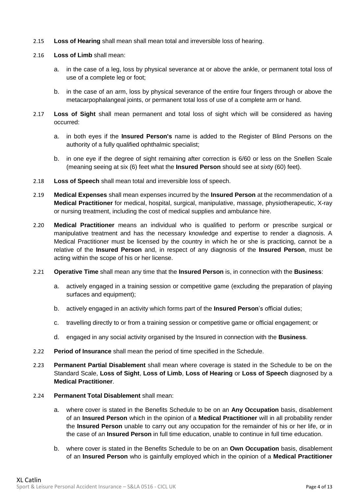- 2.15 **Loss of Hearing** shall mean shall mean total and irreversible loss of hearing.
- 2.16 **Loss of Limb** shall mean:
	- a. in the case of a leg, loss by physical severance at or above the ankle, or permanent total loss of use of a complete leg or foot;
	- b. in the case of an arm, loss by physical severance of the entire four fingers through or above the metacarpophalangeal joints, or permanent total loss of use of a complete arm or hand.
- 2.17 **Loss of Sight** shall mean permanent and total loss of sight which will be considered as having occurred:
	- a. in both eyes if the **Insured Person's** name is added to the Register of Blind Persons on the authority of a fully qualified ophthalmic specialist;
	- b. in one eye if the degree of sight remaining after correction is 6/60 or less on the Snellen Scale (meaning seeing at six (6) feet what the **Insured Person** should see at sixty (60) feet).
- 2.18 **Loss of Speech** shall mean total and irreversible loss of speech.
- 2.19 **Medical Expenses** shall mean expenses incurred by the **Insured Person** at the recommendation of a **Medical Practitioner** for medical, hospital, surgical, manipulative, massage, physiotherapeutic, X-ray or nursing treatment, including the cost of medical supplies and ambulance hire.
- 2.20 **Medical Practitioner** means an individual who is qualified to perform or prescribe surgical or manipulative treatment and has the necessary knowledge and expertise to render a diagnosis. A Medical Practitioner must be licensed by the country in which he or she is practicing, cannot be a relative of the **Insured Person** and, in respect of any diagnosis of the **Insured Person**, must be acting within the scope of his or her license.
- 2.21 **Operative Time** shall mean any time that the **Insured Person** is, in connection with the **Business**:
	- a. actively engaged in a training session or competitive game (excluding the preparation of playing surfaces and equipment);
	- b. actively engaged in an activity which forms part of the **Insured Person**'s official duties;
	- c. travelling directly to or from a training session or competitive game or official engagement; or
	- d. engaged in any social activity organised by the Insured in connection with the **Business**.
- 2.22 **Period of Insurance** shall mean the period of time specified in the Schedule.
- 2.23 **Permanent Partial Disablement** shall mean where coverage is stated in the Schedule to be on the Standard Scale, **Loss of Sight**, **Loss of Limb**, **Loss of Hearing** or **Loss of Speech** diagnosed by a **Medical Practitioner**.
- 2.24 **Permanent Total Disablement** shall mean:
	- a. where cover is stated in the Benefits Schedule to be on an **Any Occupation** basis, disablement of an **Insured Person** which in the opinion of a **Medical Practitioner** will in all probability render the **Insured Person** unable to carry out any occupation for the remainder of his or her life, or in the case of an **Insured Person** in full time education, unable to continue in full time education.
	- b. where cover is stated in the Benefits Schedule to be on an **Own Occupation** basis, disablement of an **Insured Person** who is gainfully employed which in the opinion of a **Medical Practitioner**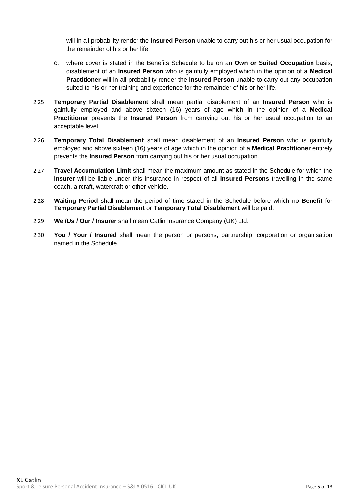will in all probability render the **Insured Person** unable to carry out his or her usual occupation for the remainder of his or her life.

- c. where cover is stated in the Benefits Schedule to be on an **Own or Suited Occupation** basis, disablement of an **Insured Person** who is gainfully employed which in the opinion of a **Medical Practitioner** will in all probability render the **Insured Person** unable to carry out any occupation suited to his or her training and experience for the remainder of his or her life.
- 2.25 **Temporary Partial Disablement** shall mean partial disablement of an **Insured Person** who is gainfully employed and above sixteen (16) years of age which in the opinion of a **Medical Practitioner** prevents the **Insured Person** from carrying out his or her usual occupation to an acceptable level.
- 2.26 **Temporary Total Disablement** shall mean disablement of an **Insured Person** who is gainfully employed and above sixteen (16) years of age which in the opinion of a **Medical Practitioner** entirely prevents the **Insured Person** from carrying out his or her usual occupation.
- 2.27 **Travel Accumulation Limit** shall mean the maximum amount as stated in the Schedule for which the **Insurer** will be liable under this insurance in respect of all **Insured Persons** travelling in the same coach, aircraft, watercraft or other vehicle.
- 2.28 **Waiting Period** shall mean the period of time stated in the Schedule before which no **Benefit** for **Temporary Partial Disablement** or **Temporary Total Disablement** will be paid.
- 2.29 **We /Us / Our / Insurer** shall mean Catlin Insurance Company (UK) Ltd.
- 2.30 **You / Your / Insured** shall mean the person or persons, partnership, corporation or organisation named in the Schedule.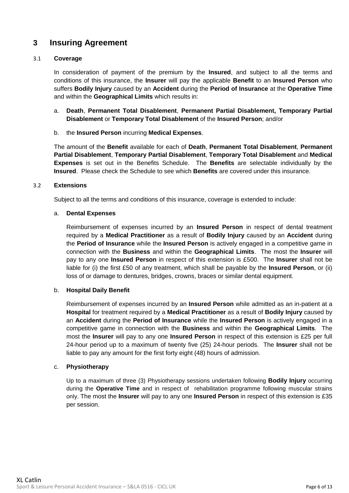## <span id="page-6-0"></span>**3 Insuring Agreement**

#### 3.1 **Coverage**

In consideration of payment of the premium by the **Insured**, and subject to all the terms and conditions of this insurance, the **Insurer** will pay the applicable **Benefit** to an **Insured Person** who suffers **Bodily Injury** caused by an **Accident** during the **Period of Insurance** at the **Operative Time** and within the **Geographical Limits** which results in:

a. **Death**, **Permanent Total Disablement**, **Permanent Partial Disablement, Temporary Partial Disablement** or **Temporary Total Disablement** of the **Insured Person**; and/or

#### b. the **Insured Person** incurring **Medical Expenses**.

The amount of the **Benefit** available for each of **Death**, **Permanent Total Disablement**, **Permanent Partial Disablement**, **Temporary Partial Disablement**, **Temporary Total Disablement** and **Medical Expenses** is set out in the Benefits Schedule. The **Benefits** are selectable individually by the **Insured**. Please check the Schedule to see which **Benefits** are covered under this insurance.

#### 3.2 **Extensions**

Subject to all the terms and conditions of this insurance, coverage is extended to include:

#### a. **Dental Expenses**

Reimbursement of expenses incurred by an **Insured Person** in respect of dental treatment required by a **Medical Practitioner** as a result of **Bodily Injury** caused by an **Accident** during the **Period of Insurance** while the **Insured Person** is actively engaged in a competitive game in connection with the **Business** and within the **Geographical Limits**. The most the **Insurer** will pay to any one **Insured Person** in respect of this extension is £500. The **Insurer** shall not be liable for (i) the first £50 of any treatment, which shall be payable by the **Insured Person**, or (ii) loss of or damage to dentures, bridges, crowns, braces or similar dental equipment.

#### b. **Hospital Daily Benefit**

Reimbursement of expenses incurred by an **Insured Person** while admitted as an in-patient at a **Hospital** for treatment required by a **Medical Practitioner** as a result of **Bodily Injury** caused by an **Accident** during the **Period of Insurance** while the **Insured Person** is actively engaged in a competitive game in connection with the **Business** and within the **Geographical Limits**. The most the **Insurer** will pay to any one **Insured Person** in respect of this extension is £25 per full 24-hour period up to a maximum of twenty five (25) 24-hour periods. The **Insurer** shall not be liable to pay any amount for the first forty eight (48) hours of admission.

#### c. **Physiotherapy**

Up to a maximum of three (3) Physiotherapy sessions undertaken following **Bodily Injury** occurring during the **Operative Time** and in respect of rehabilitation programme following muscular strains only. The most the **Insurer** will pay to any one **Insured Person** in respect of this extension is £35 per session.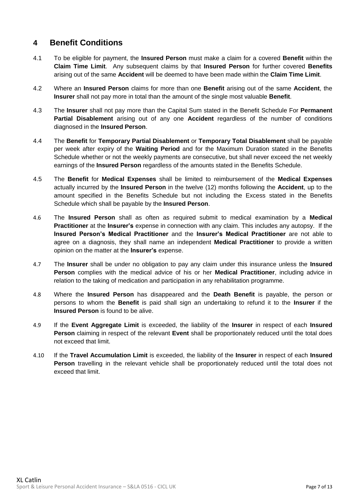### <span id="page-7-0"></span>**4 Benefit Conditions**

- 4.1 To be eligible for payment, the **Insured Person** must make a claim for a covered **Benefit** within the **Claim Time Limit**. Any subsequent claims by that **Insured Person** for further covered **Benefits** arising out of the same **Accident** will be deemed to have been made within the **Claim Time Limit**.
- 4.2 Where an **Insured Person** claims for more than one **Benefit** arising out of the same **Accident**, the **Insurer** shall not pay more in total than the amount of the single most valuable **Benefit**.
- 4.3 The **Insurer** shall not pay more than the Capital Sum stated in the Benefit Schedule For **Permanent Partial Disablement** arising out of any one **Accident** regardless of the number of conditions diagnosed in the **Insured Person**.
- 4.4 The **Benefit** for **Temporary Partial Disablement** or **Temporary Total Disablement** shall be payable per week after expiry of the **Waiting Period** and for the Maximum Duration stated in the Benefits Schedule whether or not the weekly payments are consecutive, but shall never exceed the net weekly earnings of the **Insured Person** regardless of the amounts stated in the Benefits Schedule.
- 4.5 The **Benefit** for **Medical Expenses** shall be limited to reimbursement of the **Medical Expenses** actually incurred by the **Insured Person** in the twelve (12) months following the **Accident**, up to the amount specified in the Benefits Schedule but not including the Excess stated in the Benefits Schedule which shall be payable by the **Insured Person**.
- 4.6 The **Insured Person** shall as often as required submit to medical examination by a **Medical Practitioner** at the **Insurer's** expense in connection with any claim. This includes any autopsy. If the **Insured Person's Medical Practitioner** and the **Insurer's Medical Practitioner** are not able to agree on a diagnosis, they shall name an independent **Medical Practitioner** to provide a written opinion on the matter at the **Insurer's** expense.
- 4.7 The **Insurer** shall be under no obligation to pay any claim under this insurance unless the **Insured Person** complies with the medical advice of his or her **Medical Practitioner**, including advice in relation to the taking of medication and participation in any rehabilitation programme.
- 4.8 Where the **Insured Person** has disappeared and the **Death Benefit** is payable, the person or persons to whom the **Benefit** is paid shall sign an undertaking to refund it to the **Insurer** if the **Insured Person** is found to be alive.
- 4.9 If the **Event Aggregate Limit** is exceeded, the liability of the **Insurer** in respect of each **Insured Person** claiming in respect of the relevant **Event** shall be proportionately reduced until the total does not exceed that limit.
- 4.10 If the **Travel Accumulation Limit** is exceeded, the liability of the **Insurer** in respect of each **Insured** Person travelling in the relevant vehicle shall be proportionately reduced until the total does not exceed that limit.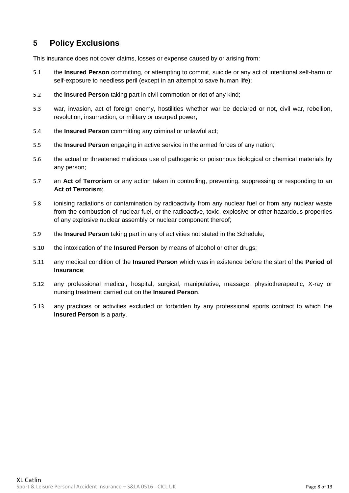## <span id="page-8-0"></span>**5 Policy Exclusions**

This insurance does not cover claims, losses or expense caused by or arising from:

- 5.1 the **Insured Person** committing, or attempting to commit, suicide or any act of intentional self-harm or self-exposure to needless peril (except in an attempt to save human life):
- 5.2 the **Insured Person** taking part in civil commotion or riot of any kind;
- 5.3 war, invasion, act of foreign enemy, hostilities whether war be declared or not, civil war, rebellion, revolution, insurrection, or military or usurped power;
- 5.4 the **Insured Person** committing any criminal or unlawful act;
- 5.5 the **Insured Person** engaging in active service in the armed forces of any nation;
- 5.6 the actual or threatened malicious use of pathogenic or poisonous biological or chemical materials by any person;
- 5.7 an **Act of Terrorism** or any action taken in controlling, preventing, suppressing or responding to an **Act of Terrorism**;
- 5.8 ionising radiations or contamination by radioactivity from any nuclear fuel or from any nuclear waste from the combustion of nuclear fuel, or the radioactive, toxic, explosive or other hazardous properties of any explosive nuclear assembly or nuclear component thereof;
- 5.9 the **Insured Person** taking part in any of activities not stated in the Schedule;
- 5.10 the intoxication of the **Insured Person** by means of alcohol or other drugs;
- 5.11 any medical condition of the **Insured Person** which was in existence before the start of the **Period of Insurance**;
- 5.12 any professional medical, hospital, surgical, manipulative, massage, physiotherapeutic, X-ray or nursing treatment carried out on the **Insured Person**.
- 5.13 any practices or activities excluded or forbidden by any professional sports contract to which the **Insured Person** is a party.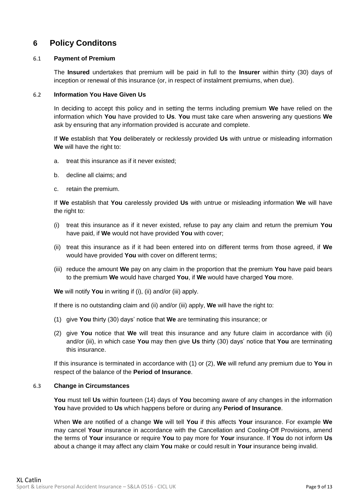## <span id="page-9-0"></span>**6 Policy Conditons**

#### 6.1 **Payment of Premium**

The **Insured** undertakes that premium will be paid in full to the **Insurer** within thirty (30) days of inception or renewal of this insurance (or, in respect of instalment premiums, when due).

#### 6.2 **Information You Have Given Us**

In deciding to accept this policy and in setting the terms including premium **We** have relied on the information which **You** have provided to **Us**. **You** must take care when answering any questions **We** ask by ensuring that any information provided is accurate and complete.

If **We** establish that **You** deliberately or recklessly provided **Us** with untrue or misleading information **We** will have the right to:

- a. treat this insurance as if it never existed;
- b. decline all claims; and
- c. retain the premium.

If **We** establish that **You** carelessly provided **Us** with untrue or misleading information **We** will have the right to:

- (i) treat this insurance as if it never existed, refuse to pay any claim and return the premium **You** have paid, if **We** would not have provided **You** with cover;
- (ii) treat this insurance as if it had been entered into on different terms from those agreed, if **We** would have provided **You** with cover on different terms;
- (iii) reduce the amount **We** pay on any claim in the proportion that the premium **You** have paid bears to the premium **We** would have charged **You**, if **We** would have charged **You** more.

**We** will notify **You** in writing if (i), (ii) and/or (iii) apply.

If there is no outstanding claim and (ii) and/or (iii) apply, **We** will have the right to:

- (1) give **You** thirty (30) days' notice that **We** are terminating this insurance; or
- (2) give **You** notice that **We** will treat this insurance and any future claim in accordance with (ii) and/or (iii), in which case **You** may then give **Us** thirty (30) days' notice that **You** are terminating this insurance.

If this insurance is terminated in accordance with (1) or (2), **We** will refund any premium due to **You** in respect of the balance of the **Period of Insurance**.

#### 6.3 **Change in Circumstances**

**You** must tell **Us** within fourteen (14) days of **You** becoming aware of any changes in the information **You** have provided to **Us** which happens before or during any **Period of Insurance**.

When **We** are notified of a change **We** will tell **You** if this affects **Your** insurance. For example **We**  may cancel **Your** insurance in accordance with the Cancellation and Cooling-Off Provisions, amend the terms of **Your** insurance or require **You** to pay more for **Your** insurance. If **You** do not inform **Us** about a change it may affect any claim **You** make or could result in **Your** insurance being invalid.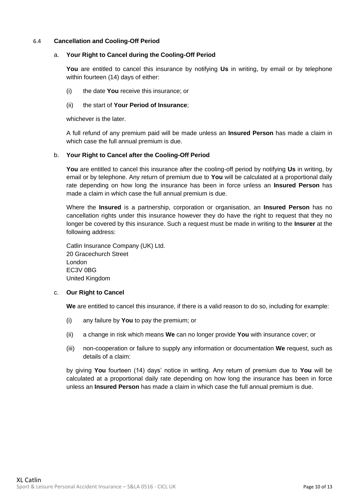#### 6.4 **Cancellation and Cooling-Off Period**

#### a. **Your Right to Cancel during the Cooling-Off Period**

**You** are entitled to cancel this insurance by notifying **Us** in writing, by email or by telephone within fourteen (14) days of either:

(i) the date **You** receive this insurance; or

#### (ii) the start of **Your Period of Insurance**;

whichever is the later.

A full refund of any premium paid will be made unless an **Insured Person** has made a claim in which case the full annual premium is due.

#### b. **Your Right to Cancel after the Cooling-Off Period**

**You** are entitled to cancel this insurance after the cooling-off period by notifying **Us** in writing, by email or by telephone. Any return of premium due to **You** will be calculated at a proportional daily rate depending on how long the insurance has been in force unless an **Insured Person** has made a claim in which case the full annual premium is due.

Where the **Insured** is a partnership, corporation or organisation, an **Insured Person** has no cancellation rights under this insurance however they do have the right to request that they no longer be covered by this insurance. Such a request must be made in writing to the **Insurer** at the following address:

Catlin Insurance Company (UK) Ltd. 20 Gracechurch Street London EC3V 0BG United Kingdom

#### c. **Our Right to Cancel**

**We** are entitled to cancel this insurance, if there is a valid reason to do so, including for example:

- (i) any failure by **You** to pay the premium; or
- (ii) a change in risk which means **We** can no longer provide **You** with insurance cover; or
- (iii) non-cooperation or failure to supply any information or documentation **We** request, such as details of a claim:

by giving **You** fourteen (14) days' notice in writing. Any return of premium due to **You** will be calculated at a proportional daily rate depending on how long the insurance has been in force unless an **Insured Person** has made a claim in which case the full annual premium is due.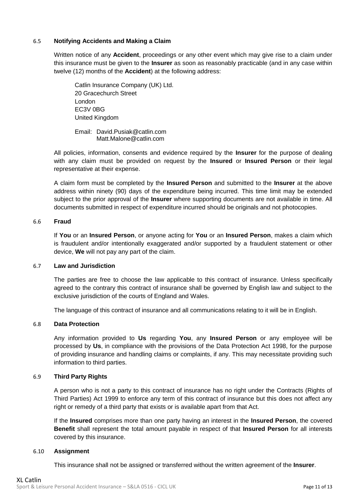#### 6.5 **Notifying Accidents and Making a Claim**

Written notice of any **Accident**, proceedings or any other event which may give rise to a claim under this insurance must be given to the **Insurer** as soon as reasonably practicable (and in any case within twelve (12) months of the **Accident**) at the following address:

Catlin Insurance Company (UK) Ltd. 20 Gracechurch Street London EC3V 0BG United Kingdom

Email: David.Pusiak@catlin.com Matt.Malone@catlin.com

All policies, information, consents and evidence required by the **Insurer** for the purpose of dealing with any claim must be provided on request by the **Insured** or **Insured Person** or their legal representative at their expense.

A claim form must be completed by the **Insured Person** and submitted to the **Insurer** at the above address within ninety (90) days of the expenditure being incurred. This time limit may be extended subject to the prior approval of the **Insurer** where supporting documents are not available in time. All documents submitted in respect of expenditure incurred should be originals and not photocopies.

#### 6.6 **Fraud**

If **You** or an **Insured Person**, or anyone acting for **You** or an **Insured Person**, makes a claim which is fraudulent and/or intentionally exaggerated and/or supported by a fraudulent statement or other device, **We** will not pay any part of the claim.

#### 6.7 **Law and Jurisdiction**

The parties are free to choose the law applicable to this contract of insurance. Unless specifically agreed to the contrary this contract of insurance shall be governed by English law and subject to the exclusive jurisdiction of the courts of England and Wales.

The language of this contract of insurance and all communications relating to it will be in English.

#### 6.8 **Data Protection**

Any information provided to **Us** regarding **You**, any **Insured Person** or any employee will be processed by **Us**, in compliance with the provisions of the Data Protection Act 1998, for the purpose of providing insurance and handling claims or complaints, if any. This may necessitate providing such information to third parties.

#### 6.9 **Third Party Rights**

A person who is not a party to this contract of insurance has no right under the Contracts (Rights of Third Parties) Act 1999 to enforce any term of this contract of insurance but this does not affect any right or remedy of a third party that exists or is available apart from that Act.

If the **Insured** comprises more than one party having an interest in the **Insured Person**, the covered **Benefit** shall represent the total amount payable in respect of that **Insured Person** for all interests covered by this insurance.

#### 6.10 **Assignment**

This insurance shall not be assigned or transferred without the written agreement of the **Insurer**.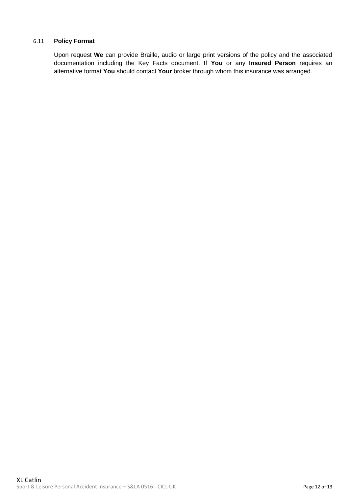#### 6.11 **Policy Format**

Upon request **We** can provide Braille, audio or large print versions of the policy and the associated documentation including the Key Facts document. If **You** or any **Insured Person** requires an alternative format **You** should contact **Your** broker through whom this insurance was arranged.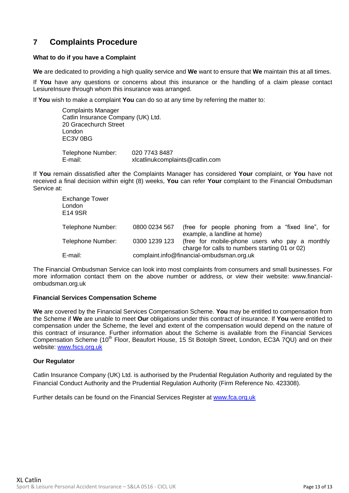## <span id="page-13-0"></span>**7 Complaints Procedure**

#### **What to do if you have a Complaint**

**We** are dedicated to providing a high quality service and **We** want to ensure that **We** maintain this at all times.

If **You** have any questions or concerns about this insurance or the handling of a claim please contact LesiureInsure through whom this insurance was arranged.

If **You** wish to make a complaint **You** can do so at any time by referring the matter to:

Complaints Manager Catlin Insurance Company (UK) Ltd. 20 Gracechurch Street London EC3V 0BG Telephone Number: 020 7743 8487 E-mail: xlcatlinukcomplaints@catlin.com

If **You** remain dissatisfied after the Complaints Manager has considered **Your** complaint, or **You** have not received a final decision within eight (8) weeks, **You** can refer **Your** complaint to the Financial Ombudsman Service at:

| Exchange Tower<br>London<br>E14 9SR |                                           |                                                                                                  |
|-------------------------------------|-------------------------------------------|--------------------------------------------------------------------------------------------------|
| Telephone Number:                   | 0800 0234 567                             | (free for people phoning from a "fixed line", for<br>example, a landline at home)                |
| Telephone Number:                   | 0300 1239 123                             | (free for mobile-phone users who pay a monthly<br>charge for calls to numbers starting 01 or 02) |
| E-mail:                             | complaint.info@financial-ombudsman.org.uk |                                                                                                  |

The Financial Ombudsman Service can look into most complaints from consumers and small businesses. For more information contact them on the above number or address, or view their website: www.financialombudsman.org.uk

#### **Financial Services Compensation Scheme**

**We** are covered by the Financial Services Compensation Scheme. **You** may be entitled to compensation from the Scheme if **We** are unable to meet **Our** obligations under this contract of insurance. If **You** were entitled to compensation under the Scheme, the level and extent of the compensation would depend on the nature of this contract of insurance. Further information about the Scheme is available from the Financial Services Compensation Scheme (10<sup>th</sup> Floor, Beaufort House, 15 St Botolph Street, London, EC3A 7QU) and on their website: www.fscs.org.uk

#### **Our Regulator**

Catlin Insurance Company (UK) Ltd. is authorised by the Prudential Regulation Authority and regulated by the Financial Conduct Authority and the Prudential Regulation Authority (Firm Reference No. 423308).

Further details can be found on the Financial Services Register at [www.fca.org.uk](http://www.fca.org.uk/)